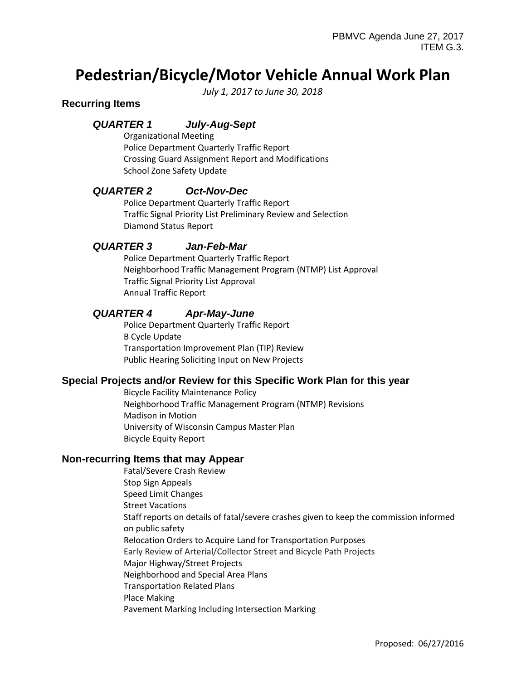# **Pedestrian/Bicycle/Motor Vehicle Annual Work Plan**

*July 1, 2017 to June 30, 2018*

## **Recurring Items**

# *QUARTER 1 July-Aug-Sept*

Organizational Meeting Police Department Quarterly Traffic Report Crossing Guard Assignment Report and Modifications School Zone Safety Update

## *QUARTER 2 Oct-Nov-Dec*

Police Department Quarterly Traffic Report Traffic Signal Priority List Preliminary Review and Selection Diamond Status Report

#### *QUARTER 3 Jan-Feb-Mar*

Police Department Quarterly Traffic Report Neighborhood Traffic Management Program (NTMP) List Approval Traffic Signal Priority List Approval Annual Traffic Report

## *QUARTER 4 Apr-May-June*

Police Department Quarterly Traffic Report B Cycle Update Transportation Improvement Plan (TIP) Review Public Hearing Soliciting Input on New Projects

#### **Special Projects and/or Review for this Specific Work Plan for this year**

Bicycle Facility Maintenance Policy Neighborhood Traffic Management Program (NTMP) Revisions Madison in Motion University of Wisconsin Campus Master Plan Bicycle Equity Report

#### **Non-recurring Items that may Appear**

Fatal/Severe Crash Review Stop Sign Appeals Speed Limit Changes Street Vacations Staff reports on details of fatal/severe crashes given to keep the commission informed on public safety Relocation Orders to Acquire Land for Transportation Purposes Early Review of Arterial/Collector Street and Bicycle Path Projects Major Highway/Street Projects Neighborhood and Special Area Plans Transportation Related Plans Place Making Pavement Marking Including Intersection Marking